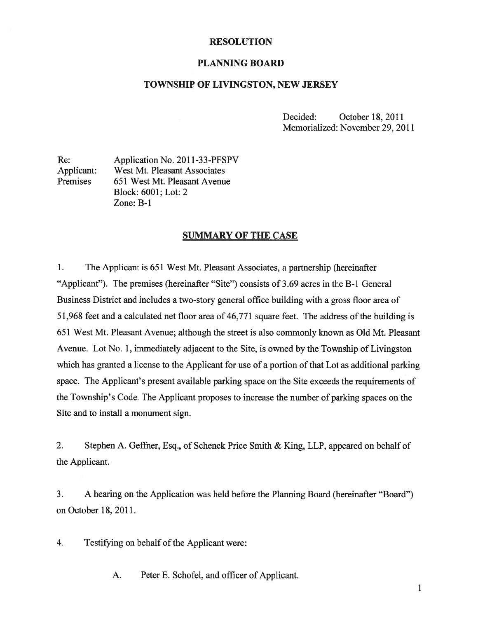## RESOLUTION

### PLANNING BOARD

#### TOWNSHIP OF LIVINGSTON, NEW JERSEY

Decided: October 18, 2011 Memorialized: November 29, 2011

Re: Application No. 2011-33-PFSPV Applicant: West Mt. Pleasant Associates Premises 651 West Mt. Pleasant Avenue Block: 6001; Lot: 2 Zone: B-i

### SUMMARY OF THE CASE

1. The Applicant is 651 West Mt. Pleasant Associates, <sup>a</sup> partnership (hereinafter "Applicant"). The premises (hereinafter "Site") consists of 3.69 acres in the B-i General Business District and includes <sup>a</sup> two-story general office building with <sup>a</sup> gross floor area of 51,968 feet and a calculated net floor area of 46,771 square feet. The address of the building is 651 West Mt. Pleasant Avenue; although the street is also commonly known as Old Mt. Pleasant Avenue. Lot No. 1, immediately adjacent to the Site, is owned by the Township of Livingston which has granted <sup>a</sup> license to the Applicant for use of <sup>a</sup> portion of that Lot as additional parking space. The Applicant's presen<sup>t</sup> available parking space on the Site exceeds the requirements of the Township's Code. The Applicant proposes to increase the number of parking spaces on the Site and to install <sup>a</sup> monument sign.

2. Stephen A. Geffner, Esq., of Schenck Price Smith & King, LLP, appeared on behalf of the Applicant.

3. A hearing on the Application was held before the Planning Board (hereinafter "Board") on October 18, 2011.

4. Testifying on behalf of the Applicant were:

A. Peter E. Schofel, and officer of Applicant.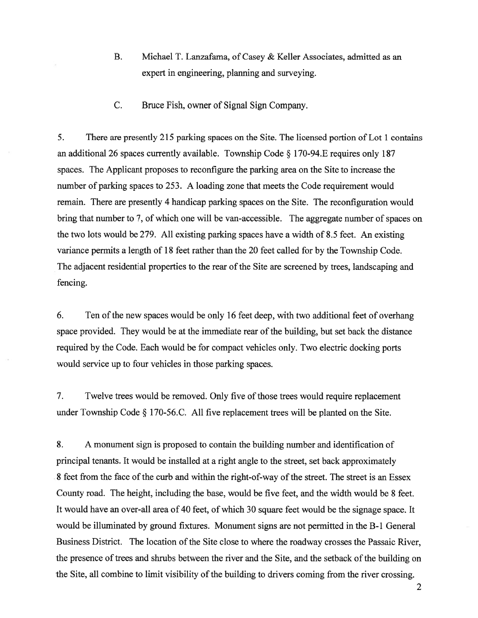- B. Michael T. Lanzafama, of Casey & Keller Associates, admitted as an exper<sup>t</sup> in engineering, planning and surveying.
- C. Bruce Fish, owner of Signal Sign Company.

5. There are presently 215 parking spaces on the Site. The licensed portion of Lot I contains an additional <sup>26</sup> spaces currently available. Township Code § 170-94.E requires only <sup>187</sup> spaces. The Applicant proposes to reconfigure the parking area on the Site to increase the number of parking spaces to 253. A loading zone that meets the Code requirement would remain. There are presently 4 handicap parking spaces on the Site. The reconfiguration would bring that number to 7, of which one will be van-accessible. The aggregate number of spaces on the two lots would be 279. All existing parking spaces have <sup>a</sup> width of 8.5 feet. An existing variance permits <sup>a</sup> length of 18 feet rather than the 20 feet called for by the Township Code. The adjacent residential properties to the rear of the Site are screened by trees, landscaping and fencing.

6. Ten of the new spaces would be only 16 feet deep, with two additional feet of overhang space provided. They would be at the immediate rear of the building, but set back the distance required by the Code. Each would be for compac<sup>t</sup> vehicles only. Two electric docking ports would service up to four vehicles in those parking spaces.

7. Twelve trees would be removed. Only five of those trees would require replacement under Township Code § <sup>1</sup> 70-56.C. All five replacement trees will be <sup>p</sup>lanted on the Site.

8. A monument sign is proposed to contain the building number and identification of principal tenants. It would be installed at <sup>a</sup> right angle to the street, set back approximately 8 feet from the face of the curb and within the right-of-way of the street. The street is an Essex County road. The height, including the base, would be five feet, and the width would be 8 feet. It would have an over-all area of 40 feet, of which 30 square feet would be the signage space. It would be illuminated by ground fixtures. Monument signs are not permitted in the B-I General Business District. The location of the Site close to where the roadway crosses the Passaic River, the presence of trees and shrubs between the river and the Site, and the setback of the building on the Site, all combine to limit visibility of the building to drivers coming from the river crossing.

2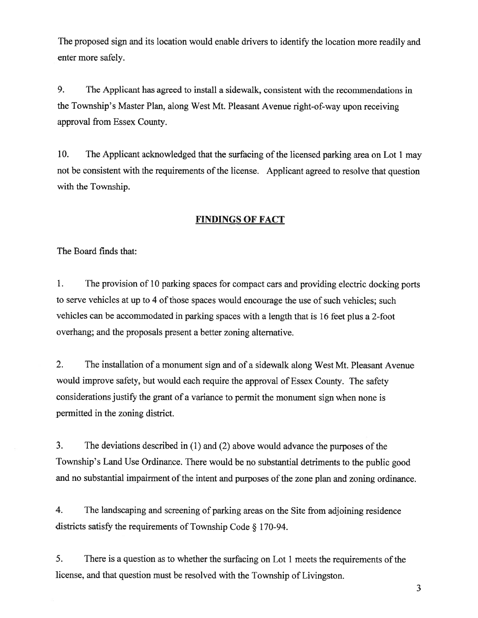The proposed sign and its location would enable drivers to identify the location more readily and enter more safely.

9. The Applicant has agreed to install <sup>a</sup> sidewalk, consistent with the recommendations in the Township's Master Plan, along West Mt. Pleasant Avenue right-of-way upon receiving approval from Essex County.

10. The Applicant acknowledged that the surfacing of the licensed parking area on Lot <sup>1</sup> may not be consistent with the requirements of the license. Applicant agree<sup>d</sup> to resolve that question with the Township.

# FINDINGS OF FACT

The Board finds that:

1. The provision of <sup>10</sup> parking spaces for compac<sup>t</sup> cars and providing electric docking ports to serve vehicles at up to 4 of those spaces would encourage the use of such vehicles; such vehicles can be accommodated in parking spaces with <sup>a</sup> length that is <sup>16</sup> feet <sup>p</sup>lus <sup>a</sup> 2-foot overhang; and the proposals presen<sup>t</sup> <sup>a</sup> better zoning alternative.

2. The installation of <sup>a</sup> monument sign and of <sup>a</sup> sidewalk along West Mt. Pleasant Avenue would improve safety, but would each require the approva<sup>l</sup> of Essex County. The safety considerations justify the gran<sup>t</sup> of <sup>a</sup> variance to permit the monument sign when none is permitted in the zoning district.

3. The deviations described in (1) and (2) above would advance the purposes of the Township's Land Use Ordinance. There would be no substantial detriments to the public goo<sup>d</sup> and no substantial impairment of the intent and purposes of the zone plan and zoning ordinance.

4. The landscaping and screening of parking areas on the Site from adjoining residence districts satisfy the requirements of Township Code § 170-94.

5. There is <sup>a</sup> question as to whether the surfacing on Lot <sup>1</sup> meets the requirements of the license, and that question must be resolved with the Township of Livingston.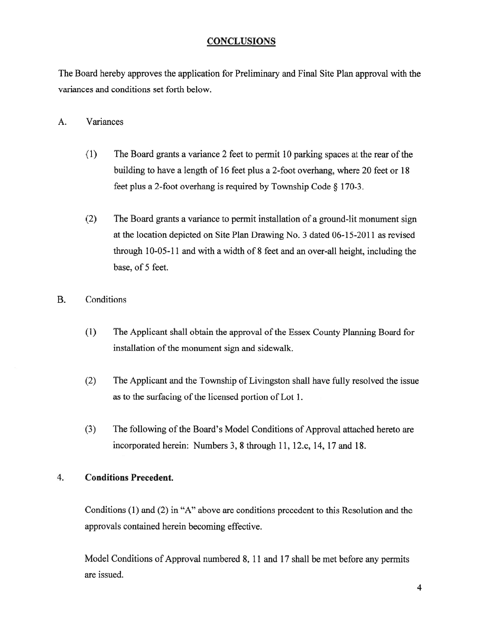# **CONCLUSIONS**

The Board hereby approves the application for Preliminary and Final Site Plan approval with the variances and conditions set forth below.

# A. Variances

- (1) The Board grants <sup>a</sup> variance 2 feet to permit 10 parking spaces at the rear ofthe building to have <sup>a</sup> length of 16 feet plus <sup>a</sup> 2-foot overhang, where 20 feet or 18 feet <sup>p</sup>lus <sup>a</sup> 2-foot overhang is required by Township Code § 170-3.
- (2) The Board grants <sup>a</sup> variance to permit installation of <sup>a</sup> ground-lit monument sign at the location depicted on Site Plan Drawing No. 3 dated 06-15-20 11 as revised through 10-05-11 and with <sup>a</sup> width of 8 feet and an over-all height, including the base, of 5 feet.

# B. Conditions

- (1) The Applicant shall obtain the approval of the Essex County Planning Board for installation of the monument sign and sidewalk.
- (2) The Applicant and the Township of Livingston shall have fully resolved the issue as to the surfacing of the licensed portion of Lot 1.
- (3) The following of the Board's Model Conditions of Approval attached hereto are incorporated herein: Numbers 3, 8 through 11, 12.c, 14, 17 and 18.

# 4. Conditions Precedent.

Conditions (1) and (2) in "A" above are conditions precedent to this Resolution and the approvals contained herein becoming effective.

Model Conditions of Approval numbered 8, <sup>11</sup> and 17 shall be met before any permits are issued.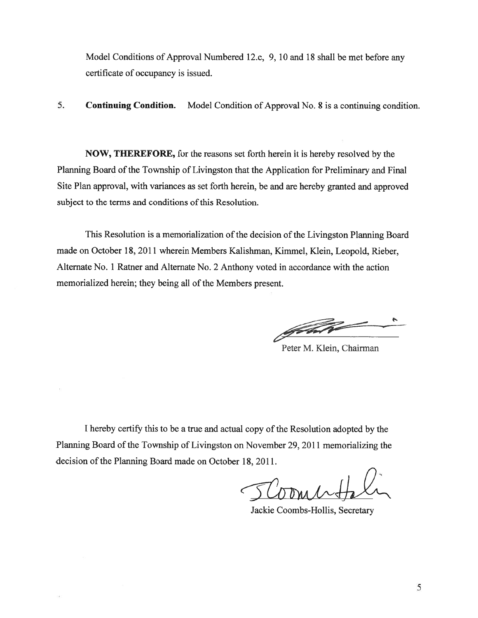Model Conditions of Approval Numbered 12.c, 9, 10 and 18 shall be met before any certificate of occupancy is issued.

5. Continuing Condition. Model Condition of Approval No. 8 is <sup>a</sup> continuing condition.

NOW, THEREFORE, for the reasons set forth herein it is hereby resolved by the Planning Board of the Township of Livingston that the Application for Preliminary and Final Site Plan approval, with variances as set forth herein, be and are hereby granted and approved subject to the terms and conditions of this Resolution.

This Resolution is a memorialization of the decision of the Livingston Planning Board made on October 18, 2011 wherein Members Kalishman, Kimmel, Klein, Leopold, Rieber, Alternate No. 1 Ratner and Alternate No. 2 Anthony voted in accordance with the action memorialized herein; they being all of the Members present.

FAT

Peter M. Klein, Chairman

<sup>I</sup> hereby certify this to be <sup>a</sup> true and actual copy of the Resolution adopted by the Planning Board of the Township of Livingston on November 29, 2011 memorializing the decision of the Planning Board made on October 18, 2011.

Jackie Coombs-Hollis, Secretary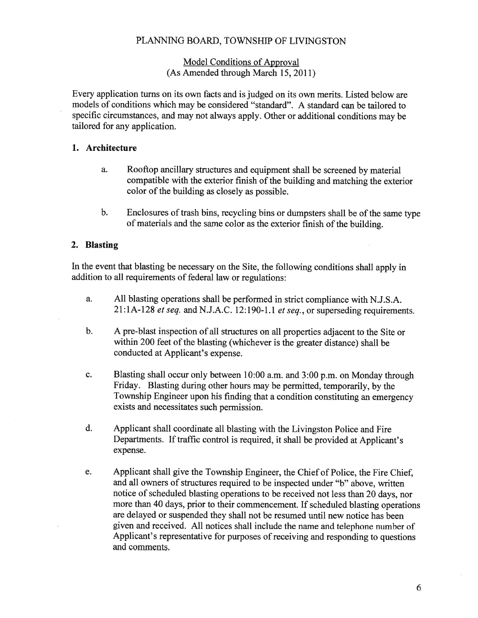## PLANNING BOARD, TOWNSHIP OF LIVINGSTON

## Model Conditions of Approval (As Amended through March 15, 2011)

Every application turns on its own facts and is judged on its own merits. Listed below are models of conditions which may be considered "standard". A standard can be tailored to specific circumstances, and may not always apply. Other or additional conditions may be tailored for any application.

## 1. Architecture

- a. Rooftop ancillary structures and equipment shall be screened by material compatible with the exterior finish of the building and matching the exterior color of the building as closely as possible.
- b. Enclosures of trash bins, recycling bins or dumpsters shall be of the same type of materials and the same color as the exterior finish of the building.

### 2. Blasting

In the event that blasting be necessary on the Site, the following conditions shall apply in addition to all requirements of federal law or regulations:

- a. All blasting operations shall be performed in strict compliance with N.J.S.A.  $21:1A-128$  et seq. and N.J.A.C. 12:190-1.1 et seq., or superseding requirements.
- b. <sup>A</sup> pre-blast inspection of all structures on all properties adjacent to the Site or within <sup>200</sup> feet of the blasting (whichever is the greater distance) shall be conducted at Applicant's expense.
- c. Blasting shall occur only between 10:00 a.m. and 3:00 p.m. on Monday through Friday. Blasting during other hours may be permitted, temporarily, by the Township Engineer upon his finding that <sup>a</sup> condition constituting an emergency exists and necessitates such permission.
- d. Applicant shall coordinate all blasting with the Livingston Police and Fire Departments. If traffic control is required, it shall be provided at Applicant's expense.
- e. Applicant shall <sup>g</sup>ive the Township Engineer, the Chief of Police, the Fire Chief, and all owners of structures required to be inspected under "b" above, written notice of scheduled blasting operations to be received not less than 20 days, nor more than <sup>40</sup> days, prior to their commencement. If scheduled blasting operations are delayed or suspended they shall not be resumed until new notice has been <sup>g</sup>iven and received. All notices shall include the name and telephone number of Applicant's representative for purposes of receiving and responding to questions and comments.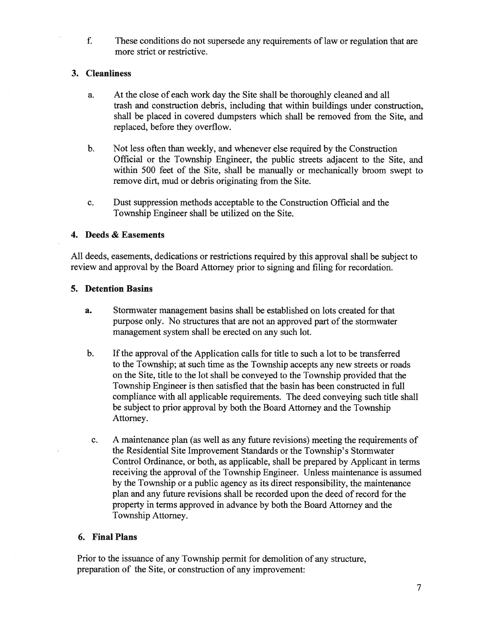f. These conditions do not supersede any requirements of law or regulation that are more strict or restrictive.

# 3. Cleanliness

- a. At the close of each work day the Site shall be thoroughly cleaned and all trash and construction debris, including that within buildings under construction, shall be placed in covered dumpsters which shall be removed from the Site, and replaced, before they overflow.
- b. Not less often than weekly, and whenever else required by the Construction Official or the Township Engineer, the public streets adjacent to the Site, and within 500 feet of the Site, shall be manually or mechanically broom swep<sup>t</sup> to remove dirt, mud or debris originating from the Site.
- c. Dust suppression methods acceptable to the Construction Official and the Township Engineer shall be utilized on the Site.

## 4. Deeds & Easements

All deeds, easements, dedications or restrictions required by this approval shall be subject to review and approval by the Board Attorney prior to signing and filing for recordation.

# 5. Detention Basins

- a. Stormwater managemen<sup>t</sup> basins shall be established on lots created for that purpose only. No structures that are not an approved part of the stormwater managemen<sup>t</sup> system shall be erected on any such lot.
- b. If the approval of the Application calls for title to such a lot to be transferred to the Township; at such time as the Township accepts any new streets or roads on the Site, title to the lot shall be conveyed to the Township provided that the Township Engineer is then satisfied that the basin has been constructed in full compliance with all applicable requirements. The deed conveying such title shall be subject to prior approval by both the Board Attorney and the Township Attorney.
- c. A maintenance plan (as well as any future revisions) meeting the requirements of the Residential Site Improvement Standards or the Township's Stormwater Control Ordinance, or both, as applicable, shall be prepared by Applicant in terms receiving the approval of the Township Engineer. Unless maintenance is assumed by the Township or <sup>a</sup> public agency as its direct responsibility, the maintenance plan and any future revisions shall be recorded upon the deed of record for the property in terms approved in advance by both the Board Attorney and the Township Attorney.

## 6. Final Plans

Prior to the issuance of any Township permit for demolition of any structure, preparation of the Site, or construction of any improvement: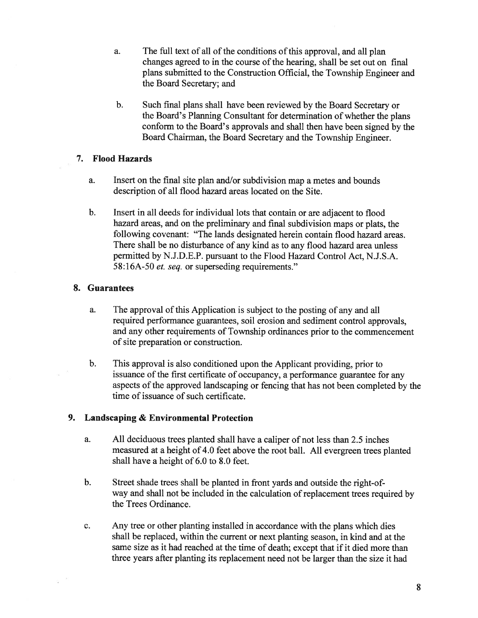- a. The full text of all of the conditions of this approval, and all plan changes agreed to in the course of the hearing, shall be set out on final <sup>p</sup>lans submitted to the Construction Official, the Township Engineer and the Board Secretary; and
- b. Such final plans shall have been reviewed by the Board Secretary or the Board's Planning Consultant for determination of whether the <sup>p</sup>ians conform to the Board's approvals and shall then have been signed by the Board Chairman, the Board Secretary and the Township Engineer.

## 7. Flood Hazards

- a. Insert on the final site plan and/or subdivision map <sup>a</sup> metes and bounds description of all flood hazard areas located on the Site.
- b. Insert in all deeds for individual lots that contain or are adjacent to flood hazard areas, and on the preliminary and final subdivision maps or <sup>p</sup>lats, the following covenant: "The lands designated herein contain flood hazard areas. There shall be no disturbance of any kind as to any flood hazard area unless permitted by N.J.D.E.P. pursuan<sup>t</sup> to the Flood Hazard Control Act, N.J.S.A. 58:16A-50 et. seq. or superseding requirements."

# 8. Guarantees

- a. The approval of this Application is subject to the posting of any and all required performance guarantees, soil erosion and sediment control approvals, and any other requirements of Township ordinances prior to the commencement of site preparation or construction.
- b. This approval is also conditioned upon the Applicant providing, prior to issuance of the first certificate of occupancy, a performance guarantee for any aspects of the approve<sup>d</sup> landscaping or fencing that has not been completed by the time of issuance of such certificate.

# 9. Landscaping & Environmental Protection

- a. All deciduous trees <sup>p</sup>lanted shall have <sup>a</sup> caliper of not less than 2.5 inches measured at <sup>a</sup> height of 4.0 feet above the root ball. All evergreen trees <sup>p</sup>lanted shall have <sup>a</sup> height of 6.0 to 8.0 feet.
- b. Street shade trees shall be planted in front yards and outside the right-ofway and shall not be included in the calculation of replacement trees required by the Trees Ordinance.
- c. Any tree or other planting installed in accordance with the plans which dies shall be replaced, within the current or next planting season, in kind and at the same size as it had reached at the time of death; excep<sup>t</sup> that if it died more than three years after planting its replacement need not be larger than the size it had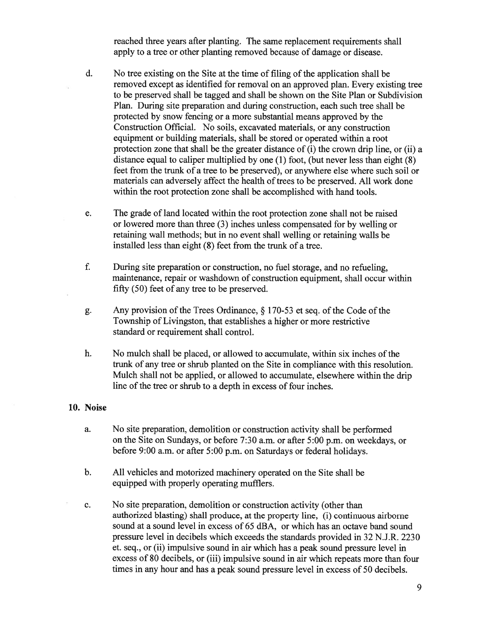reached three years after planting. The same replacement requirements shall apply to <sup>a</sup> tree or other planting removed because of damage or disease.

- d. No tree existing on the Site at the time of filing of the application shall be removed excep<sup>t</sup> as identified for removal on an approved pian. Every existing tree to be preserved shall be tagged and shall be shown on the Site Plan or Subdivision Plan. During site preparation and during construction, each such tree shall be protected by snow fencing or <sup>a</sup> more substantial means approved by the Construction Official. No soils, excavated materials, or any construction equipment or building materials, shall be stored or operated within <sup>a</sup> root protection zone that shall be the greater distance of (i) the crown drip line, or (ii) <sup>a</sup> distance equal to caliper multiplied by one (1) foot, (but never less than eight (8) feet from the trunk of <sup>a</sup> tree to be preserved), or anywhere else where such soil or materials can adversely affect the health of trees to be preserved. All work done within the root protection zone shall be accomplished with hand tools.
- e. The grade of land located within the root protection zone shall not be raised or lowered more than three (3) inches unless compensated for by welling or retaining wall methods; but in no event shall welling or retaining walls be installed less than eight (8) feet from the trunk of <sup>a</sup> tree.
- f. During site preparation or construction, no fuel storage, and no refueling, maintenance, repair or washdown of construction equipment, shall occur within fifty (50) feet of any tree to be preserved.
- g. Any provision of the Trees Ordinance,  $\S$  170-53 et seq. of the Code of the Township of Livingston, that establishes <sup>a</sup> higher or more restrictive standard or requirement shall control.
- h. No mulch shall be placed, or allowed to accumulate, within six inches of the trunk of any tree or shrub planted on the Site in compliance with this resolution. Mulch shall not be applied, or allowed to accumulate, elsewhere within the drip line of the tree or shrub to <sup>a</sup> depth in excess of four inches.

#### 10. Noise

- a. No site preparation, demolition or construction activity shall be performed on the Site on Sundays, or before 7:30 a.m. or after 5:00 p.m. on weekdays, or before 9:00 a.m. or after 5:00 p.m. on Saturdays or federal holidays.
- b. All vehicles and motorized machinery operated on the Site shall be equipped with properly operating mufflers.
- c. No site preparation, demolition or construction activity (other than authorized blasting) shall produce, at the property line, (i) continuous airborne sound at <sup>a</sup> sound level in excess of 65 dBA, or which has an octave band sound pressure level in decibels which exceeds the standards provided in 32 N.J.R. 2230 et. seq., or (ii) impulsive sound in air which has <sup>a</sup> peak sound pressure level in excess of 80 decibels, or (iii) impulsive sound in air which repeats more than four times in any hour and has <sup>a</sup> peak sound pressure level in excess of 50 decibels.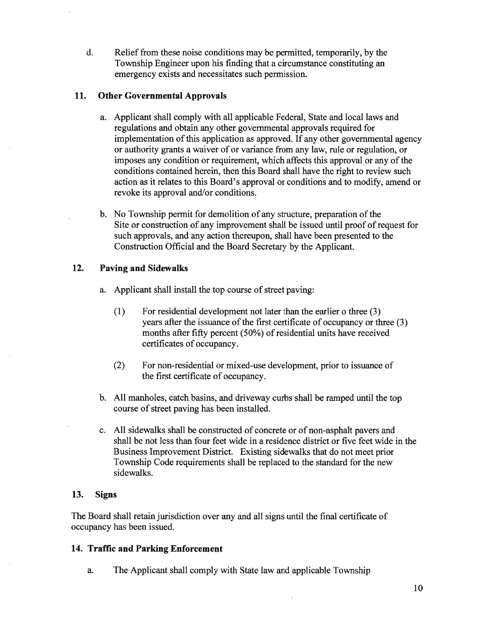d. Relief from these noise conditions may be permitted, temporarily, by the Township Engineer upon his finding that <sup>a</sup> circumstance constituting an emergency exists and necessitates such permission.

# 11. Other Governmental Approvals

- a. Applicant shall comply with all applicable Federal, State and local laws and regulations and obtain any other governmental approvals required for implementation ofthis application as approved. If any other governmental agency or authority grants <sup>a</sup> waiver of or variance from any law, rule or regulation, or imposes any condition or requirement, which affects this approval or any of the conditions contained herein, then this Board shall have the right to review such action as it relates to this Board's approval or conditions and to modify, amend or revoke its approval and/or conditions.
- b. No Township permit for demolition of any structure, preparation of the Site or construction of any improvement shall be issued until proof of reques<sup>t</sup> for such approvals, and any action thereupon, shall have been presented to the Construction Official and the Board Secretary by the Applicant.

# 12. Paving and Sidewalks

- a. Applicant shall install the top course of street paving:
	- (1) For residential development not later than the earlier <sup>o</sup> three (3) years after the issuance of the first certificate of occupancy or three (3) months after fifty percent  $(50\%)$  of residential units have received certificates of occupancy.
	- (2) For non-residential or mixed-use development, prior to issuance of the first certificate of occupancy.
- b. All manholes, catch basins, and driveway curbs shall be ramped until the top course of street paving has been installed.
- c. All sidewalks shall be constructed of concrete or of non-asphalt payers and shall be not less than four feet wide in <sup>a</sup> residence district or five feet wide in the Business Improvement District. Existing sidewalks that do not meet prior Township Code requirements shall be replaced to the standard for the new sidewalks.

## 13. Signs

The Board shall retain jurisdiction over any and all signs until the final certificate of occupancy has been issued.

## 14. Traffic and Parking Enforcement

a. The Applicant shall comply with State law and applicable Township